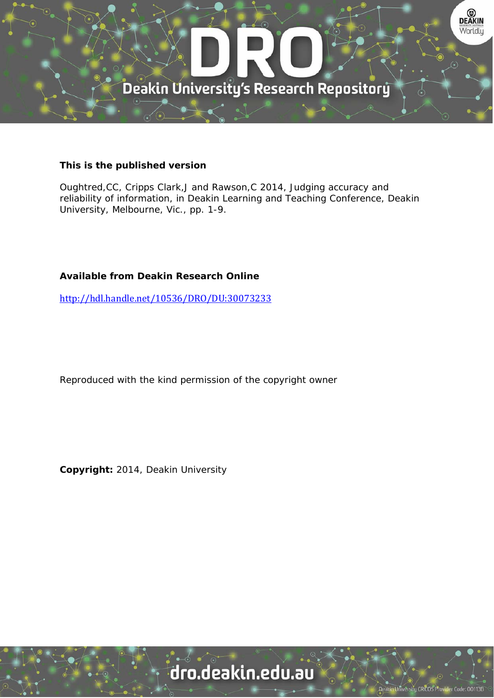

#### **This is the published version**

Oughtred,CC, Cripps Clark,J and Rawson,C 2014, Judging accuracy and reliability of information, in Deakin Learning and Teaching Conference, Deakin University, Melbourne, Vic., pp. 1-9.

#### **Available from Deakin Research Online**

http://hdl.handle.net/10536/DRO/DU:30073233

Reproduced with the kind permission of the copyright owner

**Copyright:** 2014, Deakin University

## dro.deakin.edu.au

University CRICOS Pro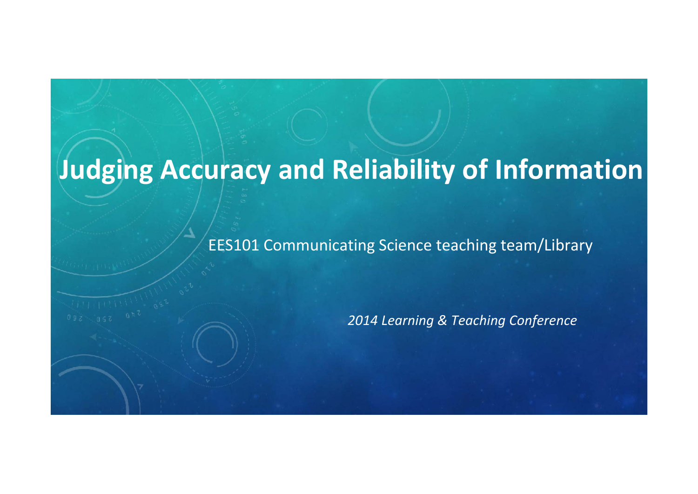# **Judging Accuracy and Reliability of Information**

EES101 Communicating Science teaching team/Library

*2014 Learning & Teaching Conference*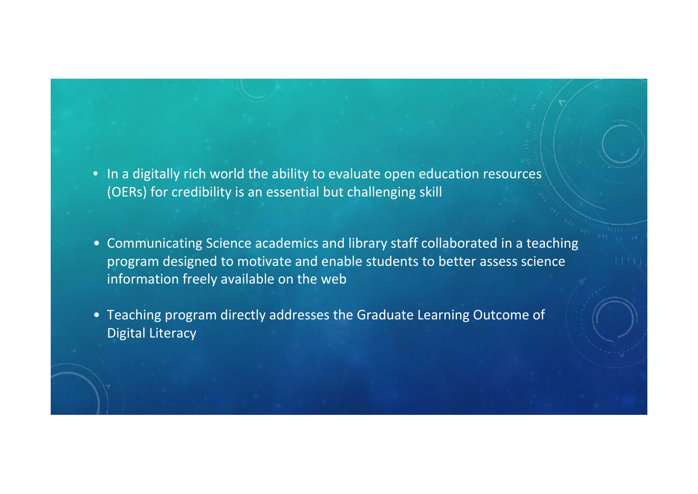- In <sup>a</sup> digitally rich world the ability to evaluate open education resources (OERs) for credibility is an essential but challenging skill
- Communicating Science academics and library staff collaborated in <sup>a</sup> teaching program designed to motivate and enable students to better assess science information freely available on the web
- Teaching program directly addresses the Graduate Learning Outcome of Digital Literacy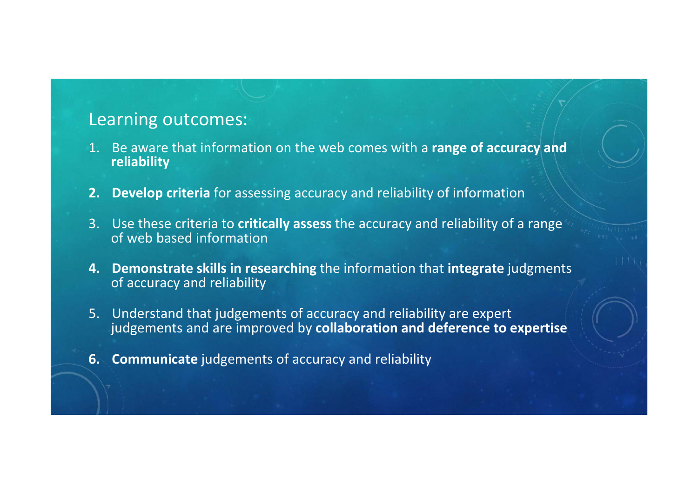## Learning outcomes:

- 1. Be aware that information on the web comes with <sup>a</sup> **range of accuracy and reliability**
- **2. Develop criteria** for assessing accuracy and reliability of information
- 3. Use these criteria to **critically assess** the accuracy and reliability of <sup>a</sup> range of web based information
- **4. Demonstrate skills in researching** the information that **integrate** judgments of accuracy and reliability
- 5. Understand that judgements of accuracy and reliability are expert judgements and are improved by **collaboration and deference to expertise**
- **6. Communicate** judgements of accuracy and reliability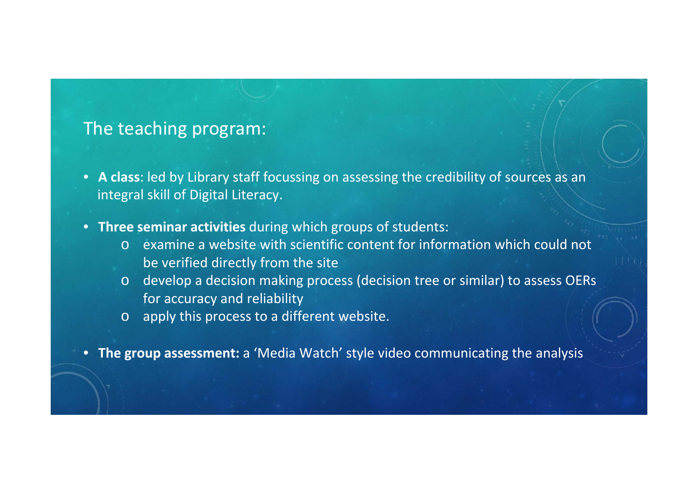#### The teaching program:

- **A class**: led by Library staff focussing on assessing the credibility of sources as an integral skill of Digital Literacy.
- **Three seminar activities** during which groups of students:
	- o examine <sup>a</sup> website with scientific content for information which could not be verified directly from the site
	- o develop <sup>a</sup> decision making process (decision tree or similar) to assess OERs for accuracy and reliability
	- o apply this process to <sup>a</sup> different website.
- **The group assessment:** <sup>a</sup> 'Media Watch' style video communicating the analysis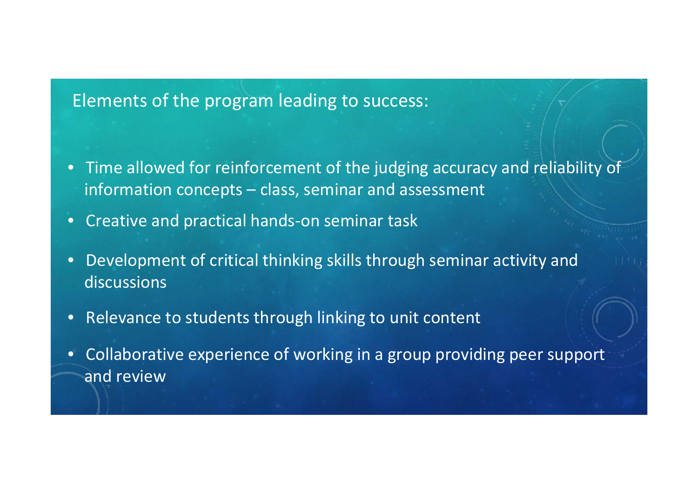#### Elements of the program leading to success:

- $\bullet$  Time allowed for reinforcement of the judging accuracy and reliability of information concepts – class, seminar and assessment
- •● Creative and practical hands-on seminar task
- $\bullet$  Development of critical thinking skills through seminar activity and discussions
- $\bullet$ • Relevance to students through linking to unit content
- Collaborative experience of working in <sup>a</sup> group providing peer support and review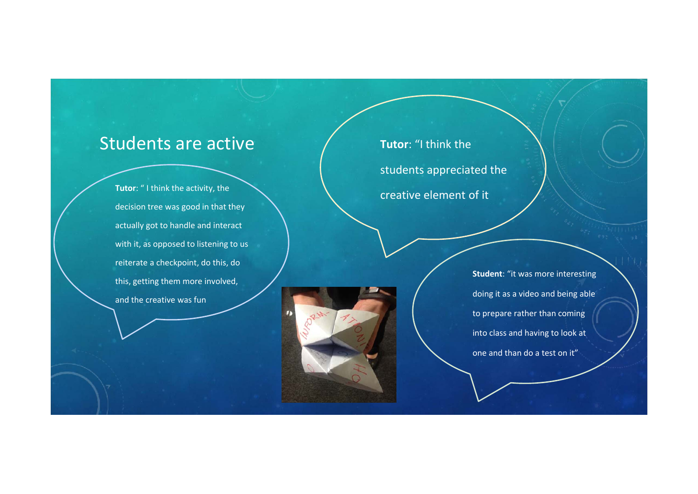#### Students are active

**Tutor**: " I think the activity, the decision tree was good in that they actually got to handle and interact with it, as opposed to listening to us reiterate <sup>a</sup> checkpoint, do this, do this, getting them more involved, and the creative was fun

**Tutor**: "I think the students appreciated the creative element of it

**Student**: "it was more interesting doing it as <sup>a</sup> video and being able to prepare rather than coming into class and having to look at one and than do <sup>a</sup> test on it"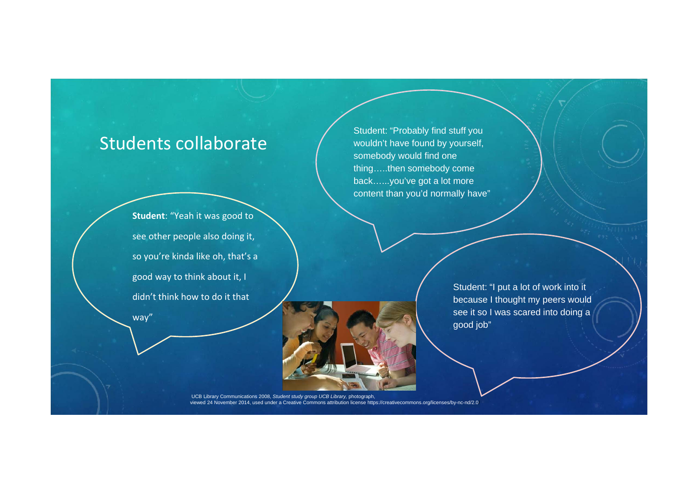#### Students collaborate

**Student**: "Yeah it was good to see other people also doing it, so you're kinda like oh, that's <sup>a</sup> good way to think about it, I didn't think how to do it that way"

Student: "Probably find stuff you wouldn't have found by yourself, somebody would find one thing…..then somebody come back…...you've got a lot more content than you'd normally have"

> Student: "I put a lot of work into it because I thought my peers would see it so I was scared into doing a good job"

UCB Library Communications 2008, Student study group UCB Library, photograph,<br>viewed 24 November 2014, used under a Creative Commons attribution license https://creativecommons.org/licenses/by-nc-nd/2.0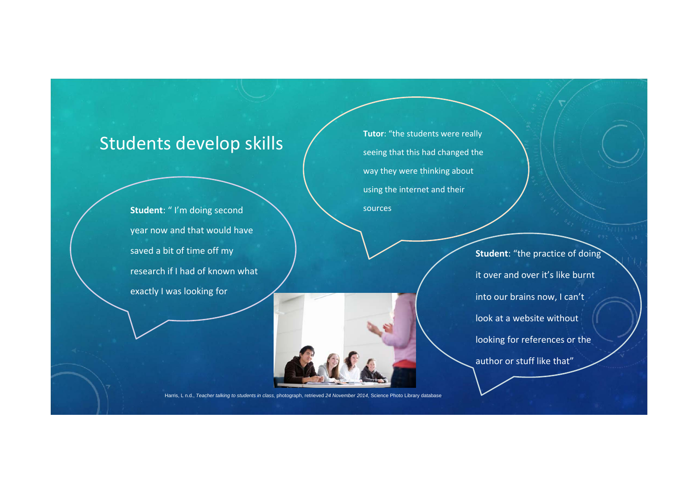#### Students develop skills

**Student**: " I'm doing second year now and that would have saved <sup>a</sup> bit of time off my research if I had of known what exactly I was looking for

**Tutor**: "the students were really seeing that this had changed the way they were thinking about using the internet and their sources

> **Student**: "the practice of doing it over and over it's like burnt into our brains now, I can't look at a website without looking for references or the author or stuff like that"

Harris, L n.d., *Teacher talking to students in class,* photograph, retrieved *24 November 2014,* Science Photo Library database.